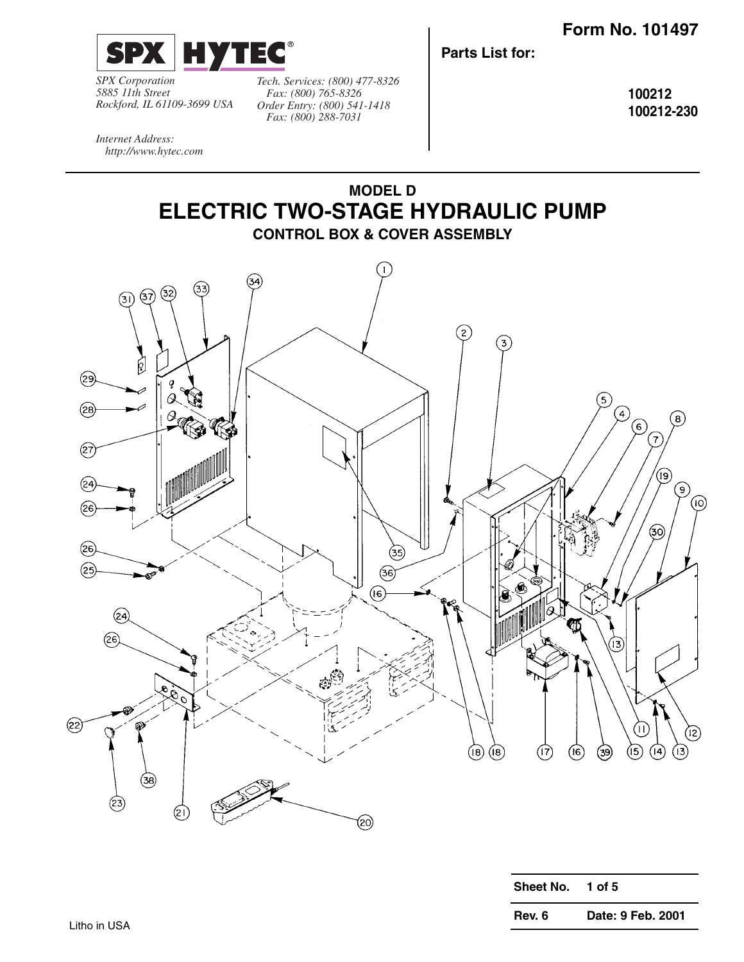

*SPX Corporation 5885 11th Street Rockford, IL 61109-3699 USA*

*Tech. Services: (800) 477-8326 Fax: (800) 765-8326 Order Entry: (800) 541-1418 Fax: (800) 288-7031*

**Parts List for:**

**100212 100212-230**

*Internet Address: http://www.hytec.com*



| <b>Sheet No.</b> | 1 of 5            |
|------------------|-------------------|
| Rev. 6           | Date: 9 Feb. 2001 |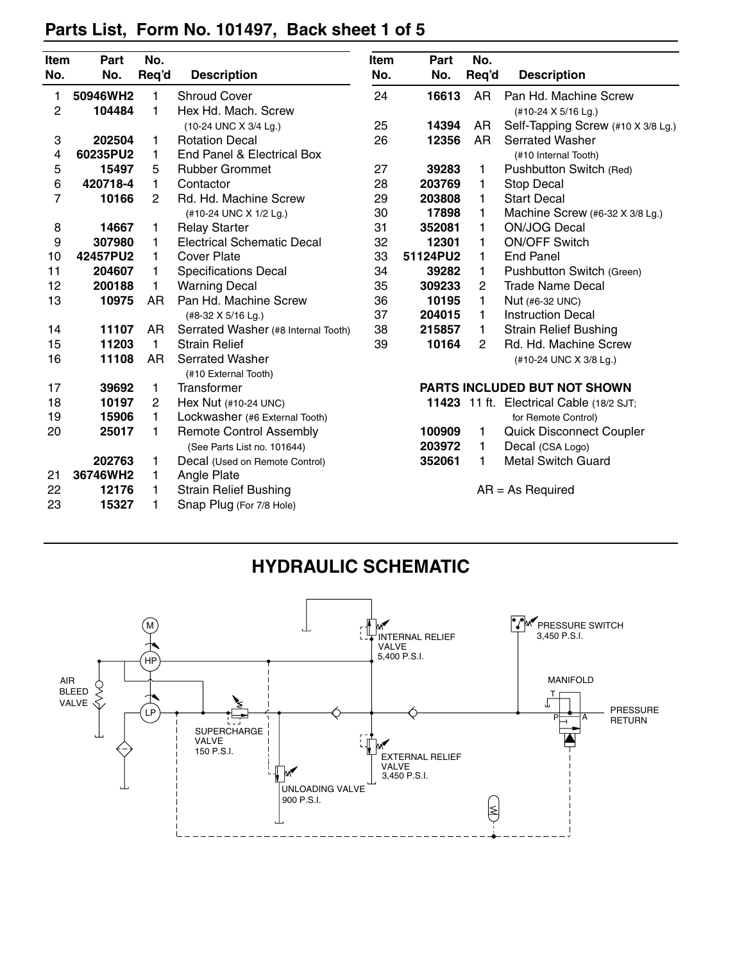|                  | Part     | No.            |                                     | <b>Item</b>                                             |                                                     | No.       |                                                 |
|------------------|----------|----------------|-------------------------------------|---------------------------------------------------------|-----------------------------------------------------|-----------|-------------------------------------------------|
| Item<br>No.      | No.      | Req'd          | <b>Description</b>                  | No.                                                     | Part<br>Req'd<br>No.                                |           | <b>Description</b>                              |
|                  |          |                |                                     |                                                         |                                                     |           |                                                 |
| 1                | 50946WH2 | 1              | <b>Shroud Cover</b>                 | 24                                                      | 16613                                               | <b>AR</b> | Pan Hd. Machine Screw                           |
| 2                | 104484   | 1              | Hex Hd. Mach. Screw                 | (#10-24 X 5/16 Lg.)                                     |                                                     |           |                                                 |
|                  |          |                | (10-24 UNC X 3/4 Lg.)               | 25<br>14394<br>Self-Tapping Screw (#10 X 3/8 Lg.)<br>AR |                                                     |           |                                                 |
| 3                | 202504   | 1              | <b>Rotation Decal</b>               | 26<br>12356<br><b>AR</b><br><b>Serrated Washer</b>      |                                                     |           |                                                 |
| 4                | 60235PU2 | 1              | End Panel & Electrical Box          |                                                         |                                                     |           | (#10 Internal Tooth)                            |
| 5                | 15497    | 5              | <b>Rubber Grommet</b>               | 27                                                      | 39283                                               | 1         | Pushbutton Switch (Red)                         |
| 6                | 420718-4 | 1              | Contactor                           | 28                                                      | 203769                                              | 1         | <b>Stop Decal</b>                               |
| 7                | 10166    | $\overline{2}$ | Rd. Hd. Machine Screw               | 29                                                      | 203808                                              | 1         | <b>Start Decal</b>                              |
|                  |          |                | (#10-24 UNC X 1/2 Lg.)              | 30                                                      | 17898                                               | 1         | Machine Screw (#6-32 X 3/8 Lg.)                 |
| 8                | 14667    | 1              | <b>Relay Starter</b>                | 31                                                      | 352081                                              | 1         | <b>ON/JOG Decal</b>                             |
| $\boldsymbol{9}$ | 307980   | 1              | <b>Electrical Schematic Decal</b>   | 32                                                      | 12301                                               | 1         | <b>ON/OFF Switch</b>                            |
| 10               | 42457PU2 | 1              | <b>Cover Plate</b>                  | 33                                                      | 51124PU2<br>1<br><b>End Panel</b>                   |           |                                                 |
| 11               | 204607   | 1              | <b>Specifications Decal</b>         | 34                                                      | 39282<br>1<br>Pushbutton Switch (Green)             |           |                                                 |
| 12               | 200188   | 1              | <b>Warning Decal</b>                | 35                                                      | 309233<br>$\overline{c}$<br><b>Trade Name Decal</b> |           |                                                 |
| 13               | 10975    | AR             | Pan Hd. Machine Screw               | 36                                                      | 10195                                               | 1         | Nut (#6-32 UNC)                                 |
|                  |          |                | (#8-32 X 5/16 Lg.)                  | 37                                                      | 204015                                              | 1         | <b>Instruction Decal</b>                        |
| 14               | 11107    | AR             | Serrated Washer (#8 Internal Tooth) | 38                                                      | 215857<br>1                                         |           | <b>Strain Relief Bushing</b>                    |
| 15               | 11203    | 1              | <b>Strain Relief</b>                | 39                                                      | 10164<br>$\overline{2}$                             |           | Rd. Hd. Machine Screw                           |
| 16               | 11108    | <b>AR</b>      | <b>Serrated Washer</b>              |                                                         | (#10-24 UNC X 3/8 Lg.)                              |           |                                                 |
|                  |          |                | (#10 External Tooth)                |                                                         |                                                     |           |                                                 |
| 17               | 39692    | 1.             | Transformer                         |                                                         |                                                     |           | PARTS INCLUDED BUT NOT SHOWN                    |
| 18               | 10197    | 2              | Hex Nut (#10-24 UNC)                |                                                         |                                                     |           | <b>11423</b> 11 ft. Electrical Cable (18/2 SJT; |
| 19               | 15906    | 1              | Lockwasher (#6 External Tooth)      |                                                         |                                                     |           | for Remote Control)                             |
| 20               | 25017    | 1              | <b>Remote Control Assembly</b>      |                                                         | 100909                                              | 1         | <b>Quick Disconnect Coupler</b>                 |
|                  |          |                | (See Parts List no. 101644)         |                                                         | 203972                                              | 1         | Decal (CSA Logo)                                |
|                  | 202763   | 1              | Decal (Used on Remote Control)      |                                                         | 352061                                              | 1         | <b>Metal Switch Guard</b>                       |
| 21               | 36746WH2 | 1.             | Angle Plate                         |                                                         |                                                     |           |                                                 |
| 22               | 12176    | 1              | <b>Strain Relief Bushing</b>        | $AR = As Required$                                      |                                                     |           |                                                 |
| 23               | 15327    | 1              | Snap Plug (For 7/8 Hole)            |                                                         |                                                     |           |                                                 |

# **Parts List, Form No. 101497, Back sheet 1 of 5**

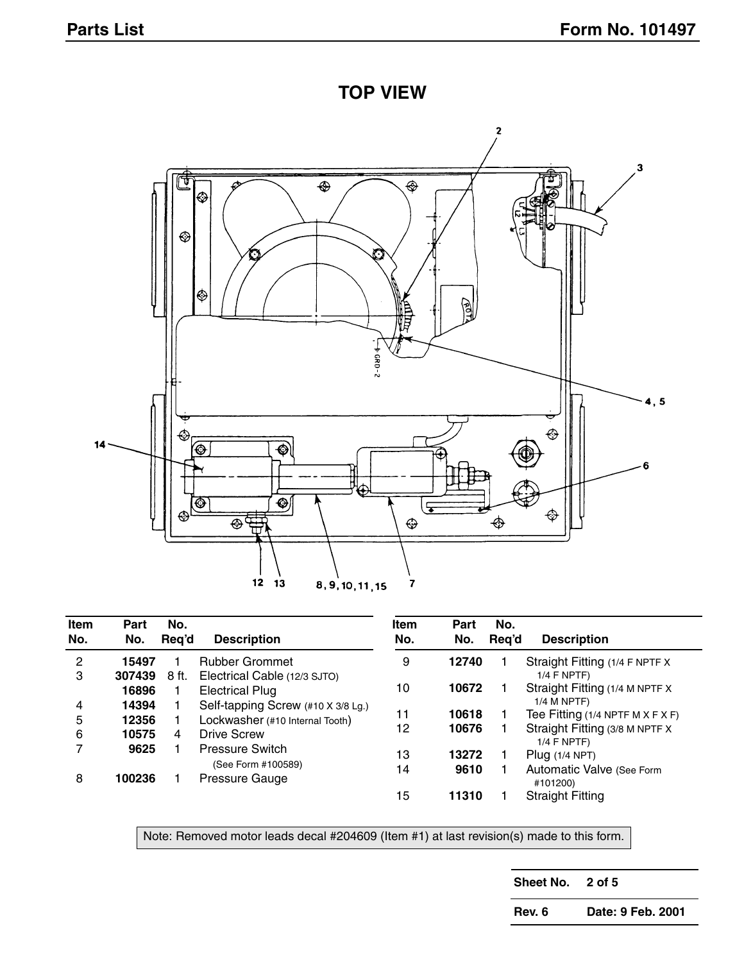**TOP VIEW**



| Item<br>No. | Part<br>No. | No.<br>Reg'd | <b>Description</b>                   | <b>Item</b><br>No. | Part<br>No. | No.<br>Reg'd | <b>Description</b>                              |
|-------------|-------------|--------------|--------------------------------------|--------------------|-------------|--------------|-------------------------------------------------|
| 2           | 15497       |              | <b>Rubber Grommet</b>                | 9                  | 12740       |              | Straight Fitting (1/4 F NPTF X                  |
| 3           | 307439      | 8 ft.        | Electrical Cable (12/3 SJTO)         |                    |             |              | $1/4$ F NPTF)                                   |
|             | 16896       |              | <b>Electrical Plug</b>               | 10                 | 10672       |              | Straight Fitting (1/4 M NPTF X                  |
| 4           | 14394       |              | Self-tapping Screw (#10 X 3/8 Lg.)   |                    |             |              | $1/4$ M NPTF)                                   |
| 5           | 12356       |              | Lockwasher (#10 Internal Tooth)      | 11                 | 10618       |              | Tee Fitting (1/4 NPTF M $X$ F $X$ F)            |
| 6           | 10575       | 4            | <b>Drive Screw</b>                   | 12                 | 10676       |              | Straight Fitting (3/8 M NPTF X<br>$1/4$ F NPTF) |
|             | 9625        |              | <b>Pressure Switch</b>               | 13                 | 13272       |              | Plug $(1/4$ NPT)                                |
| 8           | 100236      |              | (See Form #100589)<br>Pressure Gauge | 14                 | 9610        |              | Automatic Valve (See Form<br>#101200)           |
|             |             |              |                                      | 15                 | 11310       |              | <b>Straight Fitting</b>                         |

Note: Removed motor leads decal #204609 (Item #1) at last revision(s) made to this form.

**Sheet No. 2 of 5**

**Rev. 6 Date: 9 Feb. 2001**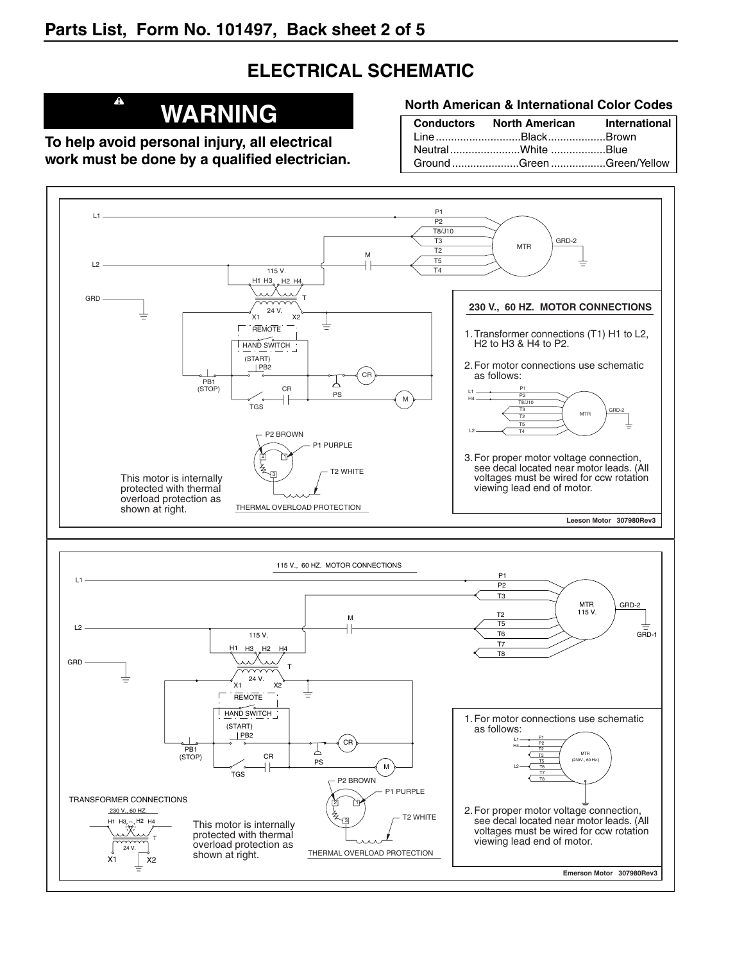# **ELECTRICAL SCHEMATIC**

# **WARNING**

**To help avoid personal injury, all electrical work must be done by a qualified electrician.**

 $\blacktriangle$ 

#### **North American & International Color Codes**

| Conductors North American International |  |
|-----------------------------------------|--|
| LineBlackBrown                          |  |
| NeutralWhite Blue                       |  |
| Ground Green Green/Yellow               |  |

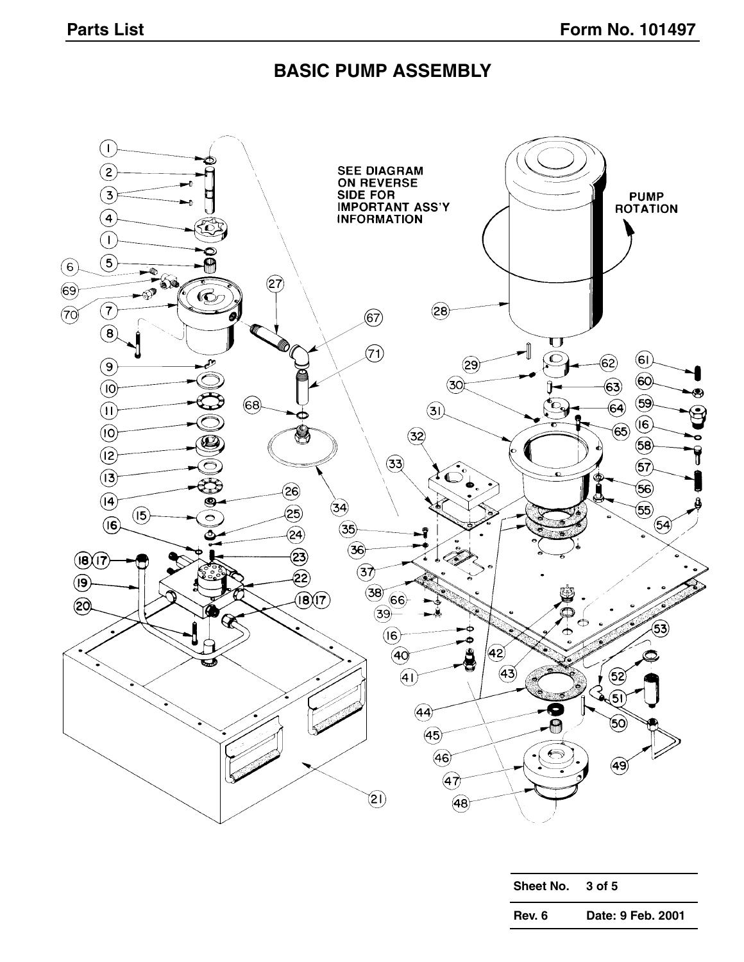#### **BASIC PUMP ASSEMBLY**



| <b>Sheet No.</b> | 3 of 5            |
|------------------|-------------------|
| Rev. 6           | Date: 9 Feb. 2001 |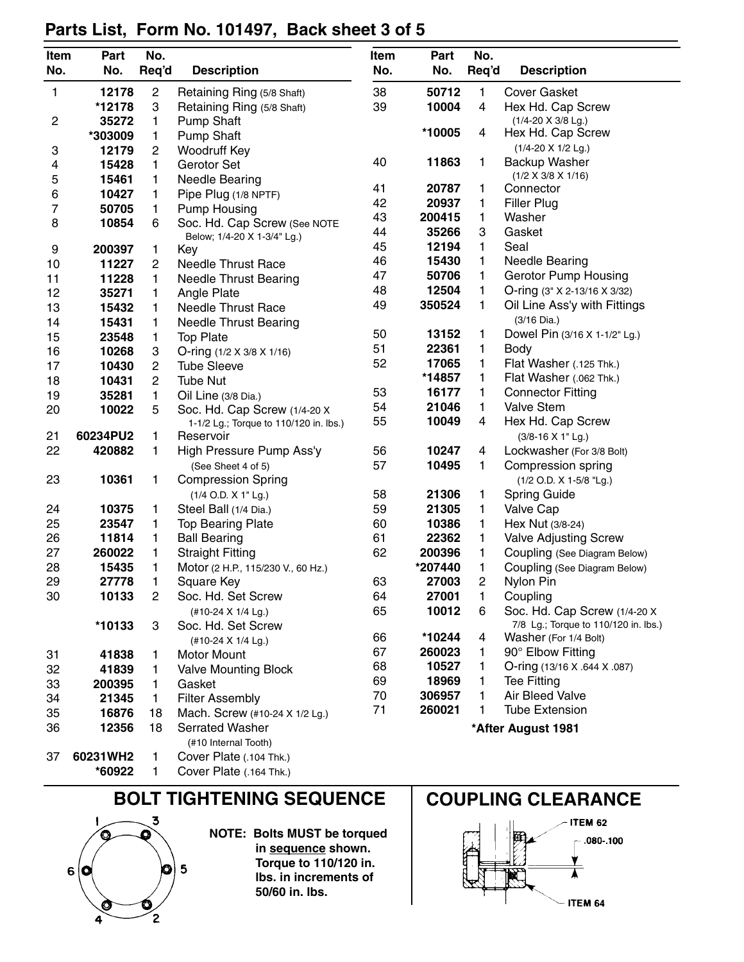| Item | Part     | No.            |                                                          | Item | Part                        | No.                |                                                              |  |  |
|------|----------|----------------|----------------------------------------------------------|------|-----------------------------|--------------------|--------------------------------------------------------------|--|--|
| No.  | No.      | Req'd          | <b>Description</b>                                       | No.  | No.                         | Req'd              | <b>Description</b>                                           |  |  |
| 1    | 12178    | 2              | Retaining Ring (5/8 Shaft)                               | 38   | 50712                       | 1                  | <b>Cover Gasket</b>                                          |  |  |
|      | *12178   | 3              | Retaining Ring (5/8 Shaft)                               | 39   | 10004                       | $\overline{4}$     | Hex Hd. Cap Screw                                            |  |  |
| 2    | 35272    | 1              | <b>Pump Shaft</b>                                        |      |                             | (1/4-20 X 3/8 Lg.) |                                                              |  |  |
|      | *303009  | 1              | <b>Pump Shaft</b>                                        |      | *10005                      | 4                  | Hex Hd. Cap Screw                                            |  |  |
| 3    | 12179    | 2              | Woodruff Key                                             |      |                             |                    | $(1/4 - 20 \times 1/2$ Lg.)                                  |  |  |
| 4    | 15428    | 1              | Gerotor Set                                              | 40   | 11863                       | 1                  | Backup Washer                                                |  |  |
| 5    | 15461    | 1              | <b>Needle Bearing</b>                                    |      |                             |                    | $(1/2 \times 3/8 \times 1/16)$                               |  |  |
| 6    | 10427    | 1              | Pipe Plug (1/8 NPTF)                                     | 41   | 20787                       | 1                  | Connector                                                    |  |  |
| 7    | 50705    | 1              | <b>Pump Housing</b>                                      | 42   | 20937                       | 1                  | <b>Filler Plug</b>                                           |  |  |
| 8    | 10854    | 6              | Soc. Hd. Cap Screw (See NOTE                             |      | 43<br>200415<br>Washer<br>1 |                    |                                                              |  |  |
|      |          |                | Below; 1/4-20 X 1-3/4" Lg.)                              | 44   | 35266                       | 3                  | Gasket                                                       |  |  |
| 9    | 200397   | 1              | Key                                                      | 45   | 12194                       | 1                  | Seal                                                         |  |  |
| 10   | 11227    | $\overline{c}$ | <b>Needle Thrust Race</b>                                | 46   | 15430                       | 1                  | <b>Needle Bearing</b>                                        |  |  |
| 11   | 11228    | 1              | <b>Needle Thrust Bearing</b>                             | 47   | 50706                       | 1                  | <b>Gerotor Pump Housing</b>                                  |  |  |
| 12   | 35271    | 1              | Angle Plate                                              | 48   | 12504                       | 1                  | O-ring (3" X 2-13/16 X 3/32)                                 |  |  |
| 13   | 15432    | 1              | <b>Needle Thrust Race</b>                                | 49   | 350524                      | 1                  | Oil Line Ass'y with Fittings                                 |  |  |
| 14   | 15431    | 1              | <b>Needle Thrust Bearing</b>                             |      |                             |                    | $(3/16$ Dia.)                                                |  |  |
| 15   | 23548    | 1              | <b>Top Plate</b>                                         | 50   | 13152                       | 1                  | Dowel Pin (3/16 X 1-1/2" Lg.)                                |  |  |
| 16   | 10268    | З              | O-ring (1/2 X 3/8 X 1/16)                                | 51   | 22361                       | 1                  | <b>Body</b>                                                  |  |  |
| 17   | 10430    | 2              | <b>Tube Sleeve</b>                                       | 52   | 17065                       | 1                  | Flat Washer (.125 Thk.)                                      |  |  |
| 18   | 10431    | $\overline{c}$ | <b>Tube Nut</b>                                          |      | *14857                      | 1                  | Flat Washer (.062 Thk.)                                      |  |  |
| 19   | 35281    | 1              | Oil Line (3/8 Dia.)                                      | 53   | 16177                       | 1                  | <b>Connector Fitting</b>                                     |  |  |
| 20   | 10022    | 5              | Soc. Hd. Cap Screw (1/4-20 X                             | 54   | 21046                       | 1                  | <b>Valve Stem</b>                                            |  |  |
|      | 60234PU2 |                | 1-1/2 Lg.; Torque to 110/120 in. lbs.)                   | 55   | 10049                       | 4                  | Hex Hd. Cap Screw                                            |  |  |
| 21   |          | 1              | Reservoir                                                |      |                             |                    | (3/8-16 X 1" Lg.)                                            |  |  |
| 22   | 420882   | 1              | High Pressure Pump Ass'y                                 | 56   | 10247                       | 4                  | Lockwasher (For 3/8 Bolt)                                    |  |  |
|      |          |                | (See Sheet 4 of 5)                                       | 57   | 10495                       | 1                  | Compression spring                                           |  |  |
| 23   | 10361    | 1              | <b>Compression Spring</b>                                | 58   | 21306                       |                    | (1/2 O.D. X 1-5/8 "Lg.)                                      |  |  |
| 24   | 10375    |                | (1/4 O.D. X 1" Lg.)                                      | 59   | 21305                       | 1<br>1             | <b>Spring Guide</b>                                          |  |  |
| 25   | 23547    | 1<br>1         | Steel Ball (1/4 Dia.)                                    | 60   | 10386                       | 1                  | Valve Cap<br>Hex Nut (3/8-24)                                |  |  |
| 26   | 11814    | 1              | <b>Top Bearing Plate</b><br><b>Ball Bearing</b>          | 61   | 22362                       | 1                  |                                                              |  |  |
| 27   | 260022   | 1              | <b>Straight Fitting</b>                                  | 62   | 200396                      | 1                  | <b>Valve Adjusting Screw</b><br>Coupling (See Diagram Below) |  |  |
| 28   | 15435    | 1              | Motor (2 H.P., 115/230 V., 60 Hz.)                       |      | *207440                     | 1                  | Coupling (See Diagram Below)                                 |  |  |
| 29   | 27778    | 1              | Square Key                                               | 63   | 27003                       | $\overline{c}$     | Nylon Pin                                                    |  |  |
| 30   | 10133    | 2              | Soc. Hd. Set Screw                                       | 64   | 27001                       | 1                  | Coupling                                                     |  |  |
|      |          |                | (#10-24 X 1/4 Lg.)                                       | 65   | 10012                       | 6                  | Soc. Hd. Cap Screw (1/4-20 X                                 |  |  |
|      | *10133   | 3              | Soc. Hd. Set Screw                                       |      |                             |                    | 7/8 Lg.; Torque to 110/120 in. lbs.)                         |  |  |
|      |          |                | (#10-24 X 1/4 Lg.)                                       | 66   | *10244                      | 4                  | Washer (For 1/4 Bolt)                                        |  |  |
| 31   | 41838    | 1              | <b>Motor Mount</b>                                       | 67   | 260023                      | 1                  | 90° Elbow Fitting                                            |  |  |
| 32   | 41839    | 1              | <b>Valve Mounting Block</b>                              | 68   | 10527                       | 1                  | O-ring (13/16 X .644 X .087)                                 |  |  |
| 33   | 200395   | 1              | Gasket                                                   | 69   | 18969                       | 1                  | <b>Tee Fitting</b>                                           |  |  |
| 34   | 21345    | 1              | <b>Filter Assembly</b>                                   | 70   | 306957                      | 1                  | Air Bleed Valve                                              |  |  |
|      | 16876    |                |                                                          | 71   | 260021                      | 1                  | <b>Tube Extension</b>                                        |  |  |
| 35   | 12356    | 18<br>18       | Mach. Screw (#10-24 X 1/2 Lg.)<br><b>Serrated Washer</b> |      |                             |                    |                                                              |  |  |
| 36   |          |                | (#10 Internal Tooth)                                     |      |                             |                    | *After August 1981                                           |  |  |
| 37   | 60231WH2 | 1              | Cover Plate (.104 Thk.)                                  |      |                             |                    |                                                              |  |  |
|      | *60922   | 1              | Cover Plate (.164 Thk.)                                  |      |                             |                    |                                                              |  |  |

# **Parts List, Form No. 101497, Back sheet 3 of 5**

# BOLT TIGHTENING SEQUENCE | COUPLING CLEARANCE



**NOTE: Bolts MUST be torqued in sequence shown. Torque to 110/120 in. lbs. in increments of 50/60 in. lbs.**



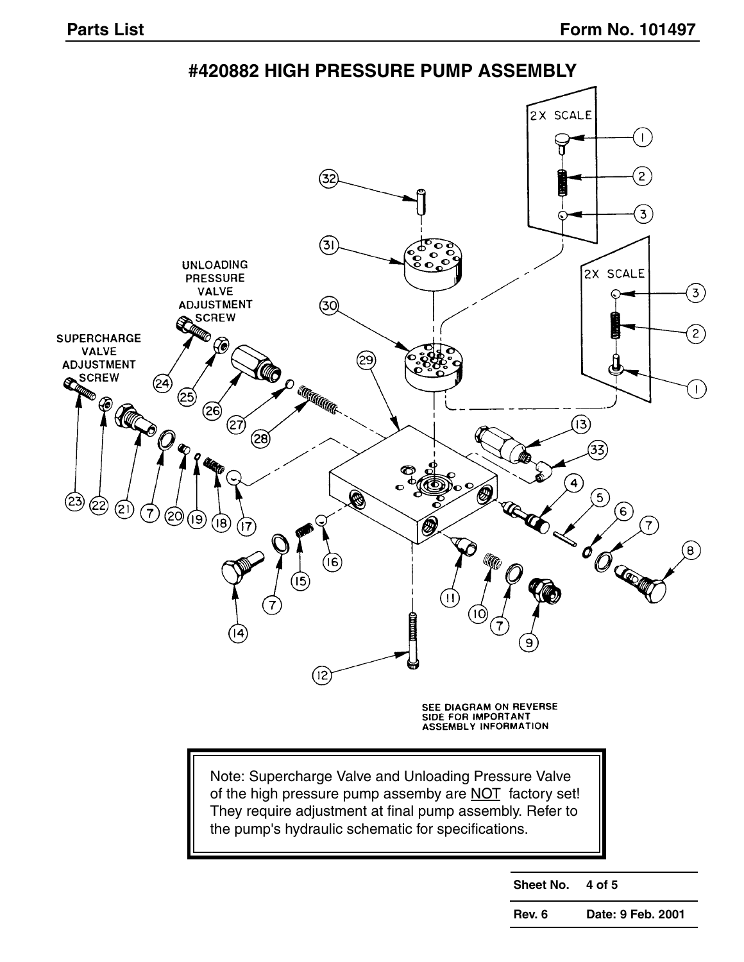**#420882 HIGH PRESSURE PUMP ASSEMBLY**



**Sheet No. 4 of 5**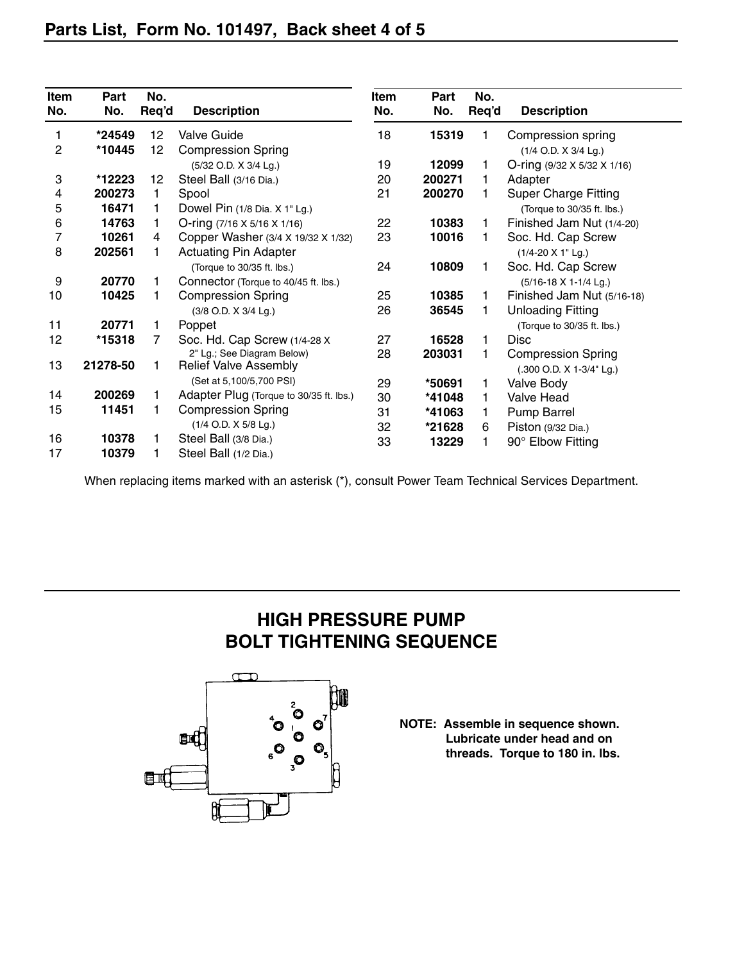| Item<br>No.    | Part<br>No. | No.<br>Req'd | <b>Description</b>                      | Item<br>No. | Part<br>No. | No.<br>Req'd | <b>Description</b>          |
|----------------|-------------|--------------|-----------------------------------------|-------------|-------------|--------------|-----------------------------|
|                |             |              |                                         |             |             |              |                             |
| 1              | *24549      | 12           | <b>Valve Guide</b>                      | 18          | 15319       |              | Compression spring          |
| $\overline{c}$ | *10445      | 12           | <b>Compression Spring</b>               |             |             |              | (1/4 O.D. X 3/4 Lg.)        |
|                |             |              | (5/32 O.D. X 3/4 Lg.)                   | 19          | 12099       |              | O-ring (9/32 X 5/32 X 1/16) |
| 3              | *12223      | 12           | Steel Ball (3/16 Dia.)                  | 20          | 200271      |              | Adapter                     |
| 4              | 200273      | 1            | Spool                                   | 21          | 200270      |              | <b>Super Charge Fitting</b> |
| 5              | 16471       |              | Dowel Pin (1/8 Dia. X 1" Lg.)           |             |             |              | (Torque to 30/35 ft. lbs.)  |
| 6              | 14763       | 1            | O-ring (7/16 X 5/16 X 1/16)             | 22          | 10383       | 1            | Finished Jam Nut (1/4-20)   |
| 7              | 10261       | 4            | Copper Washer (3/4 X 19/32 X 1/32)      | 23          | 10016       |              | Soc. Hd. Cap Screw          |
| 8              | 202561      |              | <b>Actuating Pin Adapter</b>            |             |             |              | $(1/4 - 20 \times 1$ " Lg.) |
|                |             |              | (Torque to 30/35 ft. lbs.)              | 24          | 10809       | 1            | Soc. Hd. Cap Screw          |
| 9              | 20770       |              | Connector (Torque to 40/45 ft. lbs.)    |             |             |              | (5/16-18 X 1-1/4 Lg.)       |
| 10             | 10425       |              | <b>Compression Spring</b>               | 25          | 10385       | 1            | Finished Jam Nut (5/16-18)  |
|                |             |              | (3/8 O.D. X 3/4 Lg.)                    | 26          | 36545       |              | <b>Unloading Fitting</b>    |
| 11             | 20771       | 1            | Poppet                                  |             |             |              | (Torque to 30/35 ft. lbs.)  |
| 12             | *15318      | 7            | Soc. Hd. Cap Screw (1/4-28 X            | 27          | 16528       | 1            | <b>Disc</b>                 |
|                |             |              | 2" Lg.; See Diagram Below)              | 28          | 203031      | 1            | <b>Compression Spring</b>   |
| 13             | 21278-50    |              | <b>Relief Valve Assembly</b>            |             |             |              | (.300 O.D. X 1-3/4" Lg.)    |
|                |             |              | (Set at 5,100/5,700 PSI)                | 29          | *50691      |              | <b>Valve Body</b>           |
| 14             | 200269      |              | Adapter Plug (Torque to 30/35 ft. lbs.) | 30          | *41048      | 1            | <b>Valve Head</b>           |
| 15             | 11451       |              | <b>Compression Spring</b>               | 31          | *41063      | 1            | Pump Barrel                 |
|                |             |              | (1/4 O.D. X 5/8 Lg.)                    | 32          | *21628      | 6            | Piston (9/32 Dia.)          |
| 16             | 10378       |              | Steel Ball (3/8 Dia.)                   | 33          | 13229       | 1            | 90° Elbow Fitting           |
| 17             | 10379       |              | Steel Ball (1/2 Dia.)                   |             |             |              |                             |

When replacing items marked with an asterisk (\*), consult Power Team Technical Services Department.

### **HIGH PRESSURE PUMP BOLT TIGHTENING SEQUENCE**



**NOTE: Assemble in sequence shown. Lubricate under head and on threads. Torque to 180 in. lbs.**